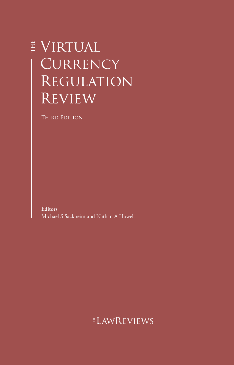# E VIRTUAL CURRENCY **REGULATION REVIEW**

THIRD EDITION

**Editors** Michael S Sackheim and Nathan A Howell

## ELAWREVIEWS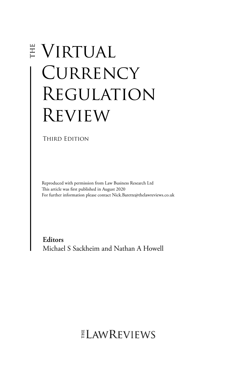# E VIRTUAL **CURRENCY** Regulation **REVIEW**

**THIRD EDITION** 

Reproduced with permission from Law Business Research Ltd This article was first published in August 2020 For further information please contact Nick.Barette@thelawreviews.co.uk

**Editors** Michael S Sackheim and Nathan A Howell

# **ELAWREVIEWS**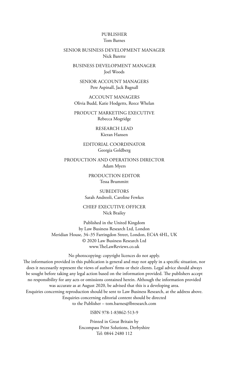#### PUBLISHER Tom Barnes

#### SENIOR BUSINESS DEVELOPMENT MANAGER Nick Barette

BUSINESS DEVELOPMENT MANAGER Joel Woods

SENIOR ACCOUNT MANAGERS Pere Aspinall, Jack Bagnall

ACCOUNT MANAGERS Olivia Budd, Katie Hodgetts, Reece Whelan

PRODUCT MARKETING EXECUTIVE Rebecca Mogridge

> RESEARCH LEAD Kieran Hansen

EDITORIAL COORDINATOR Georgia Goldberg

PRODUCTION AND OPERATIONS DIRECTOR Adam Myers

> PRODUCTION EDITOR Tessa Brummitt

SUBEDITORS Sarah Andreoli, Caroline Fewkes

CHIEF EXECUTIVE OFFICER Nick Brailey

Published in the United Kingdom by Law Business Research Ltd, London Meridian House, 34–35 Farringdon Street, London, EC4A 4HL, UK © 2020 Law Business Research Ltd www.TheLawReviews.co.uk

No photocopying: copyright licences do not apply. The information provided in this publication is general and may not apply in a specific situation, nor does it necessarily represent the views of authors' firms or their clients. Legal advice should always be sought before taking any legal action based on the information provided. The publishers accept no responsibility for any acts or omissions contained herein. Although the information provided was accurate as at August 2020, be advised that this is a developing area. Enquiries concerning reproduction should be sent to Law Business Research, at the address above. Enquiries concerning editorial content should be directed to the Publisher – tom.barnes@lbresearch.com

ISBN 978-1-83862-513-9

Printed in Great Britain by Encompass Print Solutions, Derbyshire Tel: 0844 2480 112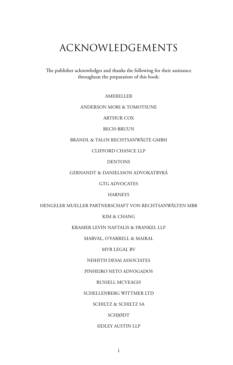# ACKNOWLEDGEMENTS

The publisher acknowledges and thanks the following for their assistance throughout the preparation of this book:

AMERELLER

ANDERSON MORI & TOMOTSUNE

ARTHUR COX

BECH-BRUUN

BRANDL & TALOS RECHTSANWÄLTE GMBH

CLIFFORD CHANCE LLP

**DENTONS** 

GERNANDT & DANIELSSON ADVOKATBYRÅ

GTG ADVOCATES

**HARNEYS** 

HENGELER MUELLER PARTNERSCHAFT VON RECHTSANWÄLTEN MBB

KIM & CHANG

KRAMER LEVIN NAFTALIS & FRANKEL LLP

MARVAL, O'FARRELL & MAIRAL

MVR LEGAL BV

NISHITH DESAI ASSOCIATES

PINHEIRO NETO ADVOGADOS

RUSSELL MCVEAGH

SCHELLENBERG WITTMER LTD

SCHILTZ & SCHILTZ SA

SCHJØDT

SIDLEY AUSTIN LLP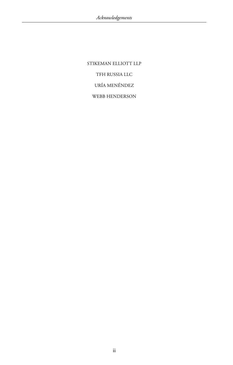STIKEMAN ELLIOTT LLP TFH RUSSIA LLC URÍA MENÉNDEZ WEBB HENDERSON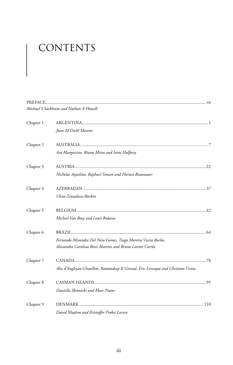# CONTENTS

|           | Michael S Sackheim and Nathan A Howell                                            |  |
|-----------|-----------------------------------------------------------------------------------|--|
| Chapter 1 |                                                                                   |  |
|           | Juan M Diehl Moreno                                                               |  |
| Chapter 2 |                                                                                   |  |
|           | Ara Margossian, Ritam Mitra and Irene Halforty                                    |  |
| Chapter 3 |                                                                                   |  |
|           | Nicholas Aquilina, Raphael Toman and Florian Braunauer                            |  |
| Chapter 4 |                                                                                   |  |
|           | Ulvia Zeynalova-Bockin                                                            |  |
| Chapter 5 |                                                                                   |  |
|           | Michiel Van Roey and Louis Bidaine                                                |  |
| Chapter 6 |                                                                                   |  |
|           | Fernando Mirandez Del Nero Gomes, Tiago Moreira Vieira Rocha,                     |  |
|           | Alessandra Carolina Rossi Martins and Bruno Lorette Corrêa                        |  |
| Chapter 7 |                                                                                   |  |
|           | Alix d'Anglejan-Chatillon, Ramandeep K Grewal, Éric Lévesque and Christian Vieira |  |
| Chapter 8 |                                                                                   |  |
|           | Daniella Skotnicki and Marc Piano                                                 |  |
| Chapter 9 |                                                                                   |  |
|           | David Moalem and Kristoffer Probst Larsen                                         |  |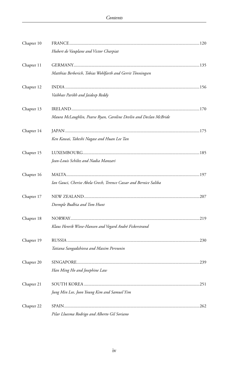| Chapter 10 |                                                                   |  |
|------------|-------------------------------------------------------------------|--|
|            | Hubert de Vauplane and Victor Charpiat                            |  |
| Chapter 11 |                                                                   |  |
|            | Matthias Berberich, Tobias Wohlfarth and Gerrit Tönningsen        |  |
| Chapter 12 |                                                                   |  |
|            | Vaibhav Parikh and Jaideep Reddy                                  |  |
| Chapter 13 |                                                                   |  |
|            | Maura McLaughlin, Pearse Ryan, Caroline Devlin and Declan McBride |  |
| Chapter 14 |                                                                   |  |
|            | Ken Kawai, Takeshi Nagase and Huan Lee Tan                        |  |
| Chapter 15 |                                                                   |  |
|            | Jean-Louis Schiltz and Nadia Manzari                              |  |
| Chapter 16 |                                                                   |  |
|            | Ian Gauci, Cherise Abela Grech, Terence Cassar and Bernice Saliba |  |
| Chapter 17 |                                                                   |  |
|            | Deemple Budhia and Tom Hunt                                       |  |
| Chapter 18 |                                                                   |  |
|            | Klaus Henrik Wiese-Hansen and Vegard André Fiskerstrand           |  |
| Chapter 19 |                                                                   |  |
|            | Tatiana Sangadzhieva and Maxim Pervunin                           |  |
| Chapter 20 |                                                                   |  |
|            | Han Ming Ho and Josephine Law                                     |  |
| Chapter 21 |                                                                   |  |
|            | Jung Min Lee, Joon Young Kim and Samuel Yim                       |  |
| Chapter 22 |                                                                   |  |
|            | Pilar Lluesma Rodrigo and Alberto Gil Soriano                     |  |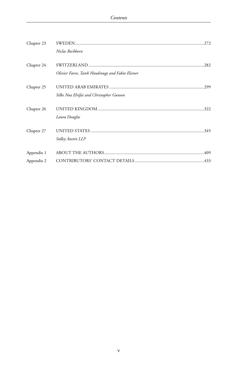| Chapter 23               |                                                  |      |
|--------------------------|--------------------------------------------------|------|
|                          | Niclas Rockborn                                  |      |
| Chapter 24               | Olivier Favre, Tarek Houdrouge and Fabio Elsener | .282 |
| Chapter 25               |                                                  |      |
|                          | Silke Noa Elrifai and Christopher Gunson         |      |
| Chapter 26               | Laura Douglas                                    |      |
| Chapter 27               |                                                  |      |
|                          | Sidley Austin LLP                                |      |
| Appendix 1<br>Appendix 2 |                                                  |      |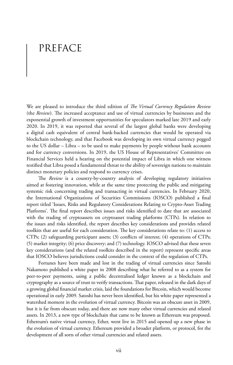## PREFACE

We are pleased to introduce the third edition of *The Virtual Currency Regulation Review*  (the *Review*). The increased acceptance and use of virtual currencies by businesses and the exponential growth of investment opportunities for speculators marked late 2019 and early 2020. In 2019, it was reported that several of the largest global banks were developing a digital cash equivalent of central bank-backed currencies that would be operated via blockchain technology, and that Facebook was developing its own virtual currency pegged to the US dollar – Libra – to be used to make payments by people without bank accounts and for currency conversions. In 2019, the US House of Representatives' Committee on Financial Services held a hearing on the potential impact of Libra in which one witness testified that Libra posed a fundamental threat to the ability of sovereign nations to maintain distinct monetary policies and respond to currency crises.

The *Review* is a country-by-country analysis of developing regulatory initiatives aimed at fostering innovation, while at the same time protecting the public and mitigating systemic risk concerning trading and transacting in virtual currencies. In February 2020, the International Organizations of Securities Commissions (IOSCO) published a final report titled 'Issues, Risks and Regulatory Considerations Relating to Crypto-Asset Trading Platforms'. The final report describes issues and risks identified to date that are associated with the trading of cryptoassets on cryptoasset trading platforms (CTPs). In relation to the issues and risks identified, the report describes key considerations and provides related toolkits that are useful for each consideration. The key considerations relate to: (1) access to CTPs; (2) safeguarding participant assets; (3) conflicts of interest; (4) operations of CTPs; (5) market integrity; (6) price discovery; and (7) technology. IOSCO advised that these seven key considerations (and the related toolkits described in the report) represent specific areas that IOSCO believes jurisdictions could consider in the context of the regulation of CTPs.

Fortunes have been made and lost in the trading of virtual currencies since Satoshi Nakamoto published a white paper in 2008 describing what he referred to as a system for peer-to-peer payments, using a public decentralised ledger known as a blockchain and cryptography as a source of trust to verify transactions. That paper, released in the dark days of a growing global financial market crisis, laid the foundations for Bitcoin, which would become operational in early 2009. Satoshi has never been identified, but his white paper represented a watershed moment in the evolution of virtual currency. Bitcoin was an obscure asset in 2009, but it is far from obscure today, and there are now many other virtual currencies and related assets. In 2013, a new type of blockchain that came to be known as Ethereum was proposed. Ethereum's native virtual currency, Ether, went live in 2015 and opened up a new phase in the evolution of virtual currency. Ethereum provided a broader platform, or protocol, for the development of all sorts of other virtual currencies and related assets.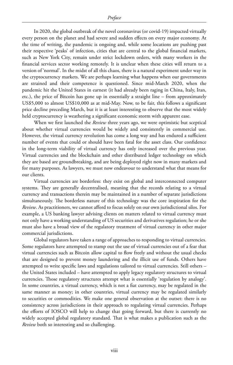In 2020, the global outbreak of the novel coronavirus (or covid-19) impacted virtually every person on the planet and had severe and sudden effects on every major economy. At the time of writing, the pandemic is ongoing and, while some locations are pushing past their respective 'peaks' of infection, cities that are central to the global financial markets, such as New York City, remain under strict lockdown orders, with many workers in the financial services sector working remotely. It is unclear when these cities will return to a version of 'normal'. In the midst of all this chaos, there is a natural experiment under way in the cryptocurrency markets. We are perhaps learning what happens when our governments are strained and their competence is questioned. Since mid-March 2020, when the pandemic hit the United States in earnest (it had already been raging in China, Italy, Iran, etc.), the price of Bitcoin has gone up in essentially a straight line – from approximately US\$5,000 to almost US\$10,000 as at mid-May. Now, to be fair, this follows a significant price decline preceding March, but it is at least interesting to observe that the most widely held cryptocurrency is weathering a significant economic storm with apparent ease.

When we first launched the *Review* three years ago, we were optimistic but sceptical about whether virtual currencies would be widely and consistently in commercial use. However, the virtual currency revolution has come a long way and has endured a sufficient number of events that could or should have been fatal for the asset class. Our confidence in the long-term viability of virtual currency has only increased over the previous year. Virtual currencies and the blockchain and other distributed ledger technology on which they are based are groundbreaking, and are being deployed right now in many markets and for many purposes. As lawyers, we must now endeavour to understand what that means for our clients.

Virtual currencies are borderless: they exist on global and interconnected computer systems. They are generally decentralised, meaning that the records relating to a virtual currency and transactions therein may be maintained in a number of separate jurisdictions simultaneously. The borderless nature of this technology was the core inspiration for the *Review*. As practitioners, we cannot afford to focus solely on our own jurisdictional silos. For example, a US banking lawyer advising clients on matters related to virtual currency must not only have a working understanding of US securities and derivatives regulation; he or she must also have a broad view of the regulatory treatment of virtual currency in other major commercial jurisdictions.

Global regulators have taken a range of approaches to responding to virtual currencies. Some regulators have attempted to stamp out the use of virtual currencies out of a fear that virtual currencies such as Bitcoin allow capital to flow freely and without the usual checks that are designed to prevent money laundering and the illicit use of funds. Others have attempted to write specific laws and regulations tailored to virtual currencies. Still others – the United States included – have attempted to apply legacy regulatory structures to virtual currencies. Those regulatory structures attempt what is essentially 'regulation by analogy'. In some countries, a virtual currency, which is not a fiat currency, may be regulated in the same manner as money; in other countries, virtual currency may be regulated similarly to securities or commodities. We make one general observation at the outset: there is no consistency across jurisdictions in their approach to regulating virtual currencies. Perhaps the efforts of IOSCO will help to change that going forward, but there is currently no widely accepted global regulatory standard. That is what makes a publication such as the *Review* both so interesting and so challenging.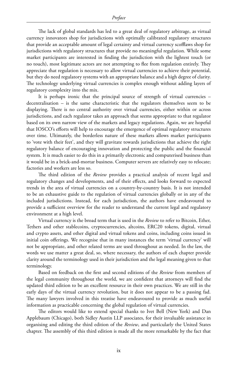The lack of global standards has led to a great deal of regulatory arbitrage, as virtual currency innovators shop for jurisdictions with optimally calibrated regulatory structures that provide an acceptable amount of legal certainty and virtual currency scofflaws shop for jurisdictions with regulatory structures that provide no meaningful regulation. While some market participants are interested in finding the jurisdiction with the lightest touch (or no touch), most legitimate actors are not attempting to flee from regulation entirely. They appreciate that regulation is necessary to allow virtual currencies to achieve their potential, but they do need regulatory systems with an appropriate balance and a high degree of clarity. The technology underlying virtual currencies is complex enough without adding layers of regulatory complexity into the mix.

It is perhaps ironic that the principal source of strength of virtual currencies – decentralisation – is the same characteristic that the regulators themselves seem to be displaying. There is no central authority over virtual currencies, either within or across jurisdictions, and each regulator takes an approach that seems appropriate to that regulator based on its own narrow view of the markets and legacy regulations. Again, we are hopeful that IOSCO's efforts will help to encourage the emergence of optimal regulatory structures over time. Ultimately, the borderless nature of these markets allows market participants to 'vote with their feet', and they will gravitate towards jurisdictions that achieve the right regulatory balance of encouraging innovation and protecting the public and the financial system. It is much easier to do this in a primarily electronic and computerised business than it would be in a brick-and-mortar business. Computer servers are relatively easy to relocate; factories and workers are less so.

The third edition of the *Review* provides a practical analysis of recent legal and regulatory changes and developments, and of their effects, and looks forward to expected trends in the area of virtual currencies on a country-by-country basis. It is not intended to be an exhaustive guide to the regulation of virtual currencies globally or in any of the included jurisdictions. Instead, for each jurisdiction, the authors have endeavoured to provide a sufficient overview for the reader to understand the current legal and regulatory environment at a high level.

Virtual currency is the broad term that is used in the *Review* to refer to Bitcoin, Ether, Tethers and other stablecoins, cryptocurrencies, altcoins, ERC20 tokens, digital, virtual and crypto assets, and other digital and virtual tokens and coins, including coins issued in initial coin offerings. We recognise that in many instances the term 'virtual currency' will not be appropriate, and other related terms are used throughout as needed. In the law, the words we use matter a great deal, so, where necessary, the authors of each chapter provide clarity around the terminology used in their jurisdiction and the legal meaning given to that terminology.

Based on feedback on the first and second editions of the *Review* from members of the legal community throughout the world, we are confident that attorneys will find the updated third edition to be an excellent resource in their own practices. We are still in the early days of the virtual currency revolution, but it does not appear to be a passing fad. The many lawyers involved in this treatise have endeavoured to provide as much useful information as practicable concerning the global regulation of virtual currencies.

The editors would like to extend special thanks to Ivet Bell (New York) and Dan Applebaum (Chicago), both Sidley Austin LLP associates, for their invaluable assistance in organising and editing the third edition of the *Review*, and particularly the United States chapter. The assembly of this third edition is made all the more remarkable by the fact that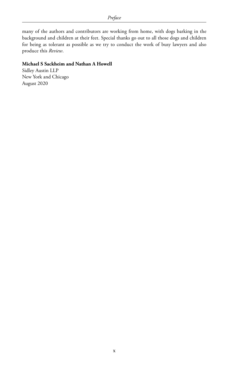many of the authors and contributors are working from home, with dogs barking in the background and children at their feet. Special thanks go out to all those dogs and children for being as tolerant as possible as we try to conduct the work of busy lawyers and also produce this *Review*.

#### **Michael S Sackheim and Nathan A Howell**

Sidley Austin LLP New York and Chicago August 2020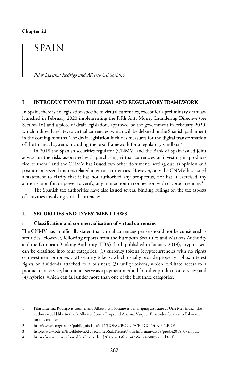### SPAIN

*Pilar Lluesma Rodrigo and Alberto Gil Soriano*<sup>1</sup>

#### **I INTRODUCTION TO THE LEGAL AND REGULATORY FRAMEWORK**

In Spain, there is no legislation specific to virtual currencies, except for a preliminary draft law launched in February 2020 implementing the Fifth Anti-Money Laundering Directive (see Section IV) and a piece of draft legislation, approved by the government in February 2020, which indirectly relates to virtual currencies, which will be debated in the Spanish parliament in the coming months. The draft legislation includes measures for the digital transformation of the financial system, including the legal framework for a regulatory sandbox.2

In 2018 the Spanish securities regulator (CNMV) and the Bank of Spain issued joint advice on the risks associated with purchasing virtual currencies or investing in products tied to them,<sup>3</sup> and the CNMV has issued two other documents setting out its opinion and position on several matters related to virtual currencies. However, only the CNMV has issued a statement to clarify that it has not authorised any prospectus, nor has it exercised any authorisation for, or power to verify, any transaction in connection with cryptocurrencies.4

The Spanish tax authorities have also issued several binding rulings on the tax aspects of activities involving virtual currencies.

#### **II SECURITIES AND INVESTMENT LAWS**

#### **i Classification and commercialisation of virtual currencies**

The CNMV has unofficially stated that virtual currencies per se should not be considered as securities. However, following reports from the European Securities and Markets Authority and the European Banking Authority (EBA) (both published in January 2019), cryptoassets can be classified into four categories: (1) currency tokens (cryptocurrencies with no rights or investment purposes); (2) security tokens, which usually provide property rights, interest rights or dividends attached to a business; (3) utility tokens, which facilitate access to a product or a service, but do not serve as a payment method for other products or services; and (4) hybrids, which can fall under more than one of the first three categories.

<sup>1</sup> Pilar Lluesma Rodrigo is counsel and Alberto Gil Soriano is a managing associate at Uría Menéndez. The authors would like to thank Alberto Gómez Fraga and Arianna Vazquez Fernández for their collaboration on this chapter.

<sup>2</sup> http://www.congreso.es/public\_oficiales/L14/CONG/BOCG/A/BOCG-14-A-3-1.PDF.

<sup>3</sup> https://www.bde.es/f/webbde/GAP/Secciones/SalaPrensa/NotasInformativas/18/presbe2018\_07en.pdf.

<sup>4</sup> https://www.cnmv.es/portal/verDoc.axd?t={76316281-6a21-42a5-b742-085dca1d9c7f}.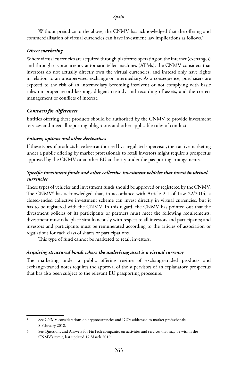Without prejudice to the above, the CNMV has acknowledged that the offering and commercialisation of virtual currencies can have investment law implications as follows.5

#### *Direct marketing*

Where virtual currencies are acquired through platforms operating on the internet (exchanges) and through cryptocurrency automatic teller machines (ATMs), the CNMV considers that investors do not actually directly own the virtual currencies, and instead only have rights in relation to an unsupervised exchange or intermediary. As a consequence, purchasers are exposed to the risk of an intermediary becoming insolvent or not complying with basic rules on proper record-keeping, diligent custody and recording of assets, and the correct management of conflicts of interest.

#### *Contracts for differences*

Entities offering these products should be authorised by the CNMV to provide investment services and meet all reporting obligations and other applicable rules of conduct.

#### *Futures, options and other derivatives*

If these types of products have been authorised by a regulated supervisor, their active marketing under a public offering by market professionals to retail investors might require a prospectus approved by the CNMV or another EU authority under the passporting arrangements.

#### *Specific investment funds and other collective investment vehicles that invest in virtual currencies*

These types of vehicles and investment funds should be approved or registered by the CNMV. The CNMV6 has acknowledged that, in accordance with Article 2.1 of Law 22/2014, a closed-ended collective investment scheme can invest directly in virtual currencies, but it has to be registered with the CNMV. In this regard, the CNMV has pointed out that the divestment policies of its participants or partners must meet the following requirements: divestment must take place simultaneously with respect to all investors and participants; and investors and participants must be remunerated according to the articles of association or regulations for each class of shares or participations.

This type of fund cannot be marketed to retail investors.

#### *Acquiring structured bonds where the underlying asset is a virtual currency*

The marketing under a public offering regime of exchange-traded products and exchange-traded notes requires the approval of the supervisors of an explanatory prospectus that has also been subject to the relevant EU passporting procedure.

<sup>5</sup> See CNMV considerations on cryptocurrencies and ICOs addressed to market professionals, 8 February 2018.

<sup>6</sup> See Questions and Answers for FinTech companies on activities and services that may be within the CNMV's remit, last updated 12 March 2019.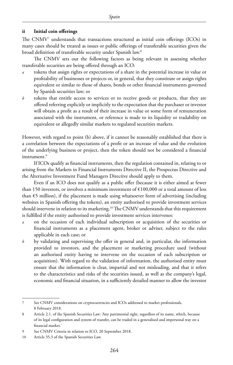#### **ii Initial coin offerings**

The  $\text{CMM}\nabla$  understands that transactions structured as initial coin offerings (ICOs) in many cases should be treated as issues or public offerings of transferable securities given the broad definition of transferable security under Spanish law.8

The CNMV sets out the following factors as being relevant in assessing whether transferable securities are being offered through an ICO:

- *a* tokens that assign rights or expectations of a share in the potential increase in value or profitability of businesses or projects or, in general, that they constitute or assign rights equivalent or similar to those of shares, bonds or other financial instruments governed by Spanish securities law; or
- *b* tokens that entitle access to services or to receive goods or products, that they are offered referring explicitly or implicitly to the expectation that the purchaser or investor will obtain a profit as a result of their increase in value or some form of remuneration associated with the instrument, or reference is made to its liquidity or tradability on equivalent or allegedly similar markets to regulated securities markets.

However, with regard to point (b) above, if it cannot be reasonably established that there is a correlation between the expectations of a profit or an increase of value and the evolution of the underlying business or project, then the token should not be considered a financial instrument.<sup>9</sup>

If ICOs qualify as financial instruments, then the regulation contained in, relating to or arising from the Markets in Financial Instruments Directive II, the Prospectus Directive and the Alternative Investment Fund Managers Directive should apply to them.

Even if an ICO does not qualify as a public offer (because it is either aimed at fewer than 150 investors, or involves a minimum investment of  $\text{\textsterling}100,000$  or a total amount of less than  $\epsilon$ 5 million), if the placement is made using whatsoever form of advertising (including websites in Spanish offering the tokens), an entity authorised to provide investment services should intervene in relation to its marketing.<sup>10</sup> The CNMV understands that this requirement is fulfilled if the entity authorised to provide investment services intervenes:

- *a* on the occasion of each individual subscription or acquisition of the securities or financial instruments as a placement agent, broker or adviser, subject to the rules applicable in each case; or
- *b* by validating and supervising the offer in general and, in particular, the information provided to investors, and the placement or marketing procedure used (without an authorised entity having to intervene on the occasion of each subscription or acquisition). With regard to the validation of information, the authorised entity must ensure that the information is clear, impartial and not misleading, and that it refers to the characteristics and risks of the securities issued, as well as the company's legal, economic and financial situation, in a sufficiently detailed manner to allow the investor

<sup>7</sup> See CNMV considerations on cryptocurrencies and ICOs addressed to market professionals, 8 February 2018.

<sup>8</sup> Article 2.1. of the Spanish Securities Law: 'Any patrimonial right, regardless of its name, which, because of its legal configuration and system of transfer, can be traded in a generalised and impersonal way on a financial market.'

<sup>9</sup> See CNMV Criteria in relation to ICO, 20 September 2018.

<sup>10</sup> Article 35.3 of the Spanish Securities Law.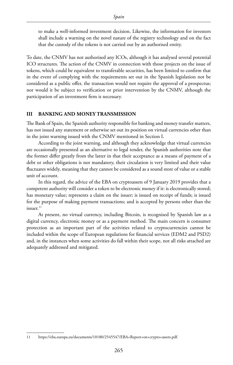to make a well-informed investment decision. Likewise, the information for investors shall include a warning on the novel nature of the registry technology and on the fact that the custody of the tokens is not carried out by an authorised entity.

To date, the CNMV has not authorised any ICOs, although it has analysed several potential ICO structures. The action of the CNMV in connection with those projects on the issue of tokens, which could be equivalent to transferable securities, has been limited to confirm that in the event of complying with the requirements set out in the Spanish legislation not be considered as a public offer, the transaction would not require the approval of a prospectus; nor would it be subject to verification or prior intervention by the CNMV, although the participation of an investment firm is necessary.

#### **III BANKING AND MONEY TRANSMISSION**

The Bank of Spain, the Spanish authority responsible for banking and money transfer matters, has not issued any statement or otherwise set out its position on virtual currencies other than in the joint warning issued with the CNMV mentioned in Section I.

According to the joint warning, and although they acknowledge that virtual currencies are occasionally presented as an alternative to legal tender, the Spanish authorities note that the former differ greatly from the latter in that their acceptance as a means of payment of a debt or other obligations is not mandatory, their circulation is very limited and their value fluctuates widely, meaning that they cannot be considered as a sound store of value or a stable unit of account.

In this regard, the advice of the EBA on cryptoassets of 9 January 2019 provides that a competent authority will consider a token to be electronic money if it: is electronically stored; has monetary value; represents a claim on the issuer; is issued on receipt of funds; is issued for the purpose of making payment transactions; and is accepted by persons other than the issuer.<sup>11</sup>

At present, no virtual currency, including Bitcoin, is recognised by Spanish law as a digital currency, electronic money or as a payment method. The main concern is consumer protection as an important part of the activities related to cryptocurrencies cannot be included within the scope of European regulations for financial services (EDM2 and PSD2) and, in the instances when some activities do fall within their scope, not all risks attached are adequately addressed and mitigated.

<sup>11</sup> https://eba.europa.eu/documents/10180/2545547/EBA+Report+on+crypto+assets.pdf.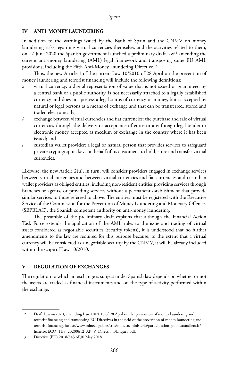#### **IV ANTI-MONEY LAUNDERING**

In addition to the warnings issued by the Bank of Spain and the CNMV on money laundering risks regarding virtual currencies themselves and the activities related to them, on 12 June 2020 the Spanish government launched a preliminary draft law<sup>12</sup> amending the current anti-money laundering (AML) legal framework and transposing some EU AML provisions, including the Fifth Anti-Money Laundering Directive.<sup>13</sup>

Thus, the new Article 1 of the current Law 10/2010 of 28 April on the prevention of money laundering and terrorist financing will include the following definitions:

- *a* virtual currency: a digital representation of value that is not issued or guaranteed by a central bank or a public authority, is not necessarily attached to a legally established currency and does not possess a legal status of currency or money, but is accepted by natural or legal persons as a means of exchange and that can be transferred, stored and traded electronically;
- *b* exchange between virtual currencies and fiat currencies: the purchase and sale of virtual currencies through the delivery or acceptance of euros or any foreign legal tender or electronic money accepted as medium of exchange in the country where it has been issued; and
- *c* custodian wallet provider: a legal or natural person that provides services to safeguard private cryptographic keys on behalf of its customers, to hold, store and transfer virtual currencies.

Likewise, the new Article 2(u), in turn, will consider providers engaged in exchange services between virtual currencies and between virtual currencies and fiat currencies and custodian wallet providers as obliged entities, including non-resident entities providing services through branches or agents, or providing services without a permanent establishment that provide similar services to those referred to above. The entities must be registered with the Executive Service of the Commission for the Prevention of Money Laundering and Monetary Offences (SEPBLAC), the Spanish competent authority on anti-money laundering.

The preamble of the preliminary draft explains that although the Financial Action Task Force extends the application of the AML rules to the issue and trading of virtual assets considered as negotiable securities (security tokens), it is understood that no further amendments to the law are required for this purpose because, to the extent that a virtual currency will be considered as a negotiable security by the CNMV, it will be already included within the scope of Law 10/2010.

#### **V REGULATION OF EXCHANGES**

The regulation to which an exchange is subject under Spanish law depends on whether or not the assets are traded as financial instruments and on the type of activity performed within the exchange.

<sup>12</sup> Draft Law --/2020, amending Law 10/2010 of 28 April on the prevention of money laundering and terrorist financing and transposing EU Directives in the field of the prevention of money laundering and terrorist financing, https://www.mineco.gob.es/stfls/mineco/ministerio/participacion\_publica/audiencia/ ficheros/ECO\_TES\_20200612\_AP\_V\_Directiv\_Blanqueo.pdf.

<sup>13</sup> Directive (EU) 2018/843 of 30 May 2018.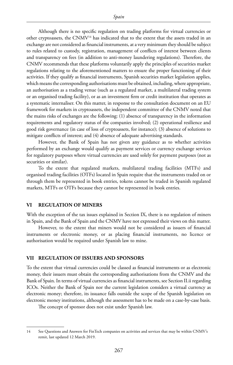Although there is no specific regulation on trading platforms for virtual currencies or other cryptoassets, the CNMV<sup>14</sup> has indicated that to the extent that the assets traded in an exchange are not considered as financial instruments, at a very minimum they should be subject to rules related to custody, registration, management of conflicts of interest between clients and transparency on fees (in addition to anti-money laundering regulations). Therefore, the CNMV recommends that these platforms voluntarily apply the principles of securities market regulations relating to the aforementioned matters to ensure the proper functioning of their activities. If they qualify as financial instruments, Spanish securities market legislation applies, which means the corresponding authorisations must be obtained, including, where appropriate, an authorisation as a trading venue (such as a regulated market, a multilateral trading system or an organised trading facility), or as an investment firm or credit institution that operates as a systematic internaliser. On this matter, in response to the consultation document on an EU framework for markets in cryptoassets, the independent committee of the CNMV noted that the mains risks of exchanges are the following: (1) absence of transparency in the information requirements and regulatory status of the companies involved; (2) operational resilience and good risk governance (in case of loss of cryptoassets, for instance); (3) absence of solutions to mitigate conflicts of interest; and (4) absence of adequate advertising standards.

However, the Bank of Spain has not given any guidance as to whether activities performed by an exchange would qualify as payment services or currency exchange services for regulatory purposes where virtual currencies are used solely for payment purposes (not as securities or similar).

To the extent that regulated markets, multilateral trading facilities (MTFs) and organised trading facilities (OTFs) located in Spain require that the instruments traded on or through them be represented in book entries, tokens cannot be traded in Spanish regulated markets, MTFs or OTFs because they cannot be represented in book entries.

#### **VI REGULATION OF MINERS**

With the exception of the tax issues explained in Section IX, there is no regulation of miners in Spain, and the Bank of Spain and the CNMV have not expressed their views on this matter.

However, to the extent that miners would not be considered as issuers of financial instruments or electronic money, or as placing financial instruments, no licence or authorisation would be required under Spanish law to mine.

#### **VII REGULATION OF ISSUERS AND SPONSORS**

To the extent that virtual currencies could be classed as financial instruments or as electronic money, their issuers must obtain the corresponding authorisations from the CNMV and the Bank of Spain. In terms of virtual currencies as financial instruments, see Section II.ii regarding ICOs. Neither the Bank of Spain nor the current legislation considers a virtual currency as electronic money; therefore, its issuance falls outside the scope of the Spanish legislation on electronic money institutions, although the assessment has to be made on a case-by-case basis.

The concept of sponsor does not exist under Spanish law.

<sup>14</sup> See Questions and Answers for FinTech companies on activities and services that may be within CNMV's remit, last updated 12 March 2019.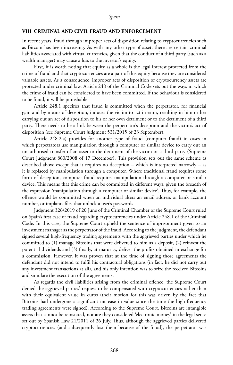#### **VIII CRIMINAL AND CIVIL FRAUD AND ENFORCEMENT**

In recent years, fraud through improper acts of disposition relating to cryptocurrencies such as Bitcoin has been increasing. As with any other type of asset, there are certain criminal liabilities associated with virtual currencies, given that the conduct of a third party (such as a wealth manager) may cause a loss to the investor's equity.

First, it is worth noting that equity as a whole is the legal interest protected from the crime of fraud and that cryptocurrencies are a part of this equity because they are considered valuable assets. As a consequence, improper acts of disposition of cryptocurrency assets are protected under criminal law. Article 248 of the Criminal Code sets out the ways in which the crime of fraud can be considered to have been committed. If the behaviour is considered to be fraud, it will be punishable.

Article 248.1 specifies that fraud is committed when the perpetrator, for financial gain and by means of deception, induces the victim to act in error, resulting in him or her carrying out an act of disposition to his or her own detriment or to the detriment of a third party. There needs to be a link between the perpetrator's deception and the victim's act of disposition (see Supreme Court judgment 531/2015 of 23 September).

Article 248.2.a) provides for another type of fraud (computer fraud) in cases in which perpetrators use manipulation through a computer or similar device to carry out an unauthorised transfer of an asset to the detriment of the victim or a third party (Supreme Court judgment 860/2008 of 17 December). This provision sets out the same scheme as described above except that it requires no deception – which is interpreted narrowly – as it is replaced by manipulation through a computer. Where traditional fraud requires some form of deception, computer fraud requires manipulation through a computer or similar device. This means that this crime can be committed in different ways, given the breadth of the expression 'manipulation through a computer or similar device'. Thus, for example, the offence would be committed when an individual alters an email address or bank account number, or implants files that unlock a user's passwords.

Judgment 326/2019 of 20 June of the Criminal Chamber of the Supreme Court ruled on Spain's first case of fraud regarding cryptocurrencies under Article 248.1 of the Criminal Code. In this case, the Supreme Court upheld the sentence of imprisonment given to an investment manager as the perpetrator of the fraud. According to the judgment, the defendant signed several high-frequency trading agreements with the aggrieved parties under which he committed to (1) manage Bitcoins that were delivered to him as a deposit, (2) reinvest the potential dividends and (3) finally, at maturity, deliver the profits obtained in exchange for a commission. However, it was proven that at the time of signing those agreements the defendant did not intend to fulfil his contractual obligations (in fact, he did not carry out any investment transactions at all), and his only intention was to seize the received Bitcoins and simulate the execution of the agreements.

As regards the civil liabilities arising from the criminal offence, the Supreme Court denied the aggrieved parties' request to be compensated with cryptocurrencies rather than with their equivalent value in euros (their motion for this was driven by the fact that Bitcoins had undergone a significant increase in value since the time the high-frequency trading agreements were signed). According to the Supreme Court, Bitcoins are intangible assets that cannot be reinstated, nor are they considered 'electronic money' in the legal sense set out by Spanish Law 21/2011 of 26 July. Thus, although the aggrieved parties delivered cryptocurrencies (and subsequently lost them because of the fraud), the perpetrator was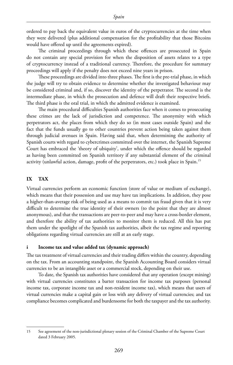ordered to pay back the equivalent value in euros of the cryptocurrencies at the time when they were delivered (plus additional compensation for the profitability that those Bitcoins would have offered up until the agreements expired).

The criminal proceedings through which these offences are prosecuted in Spain do not contain any special provision for when the disposition of assets relates to a type of cryptocurrency instead of a traditional currency. Therefore, the procedure for summary proceedings will apply if the penalty does not exceed nine years in prison.

These proceedings are divided into three phases. The first is the pre-trial phase, in which the judge will try to obtain evidence to determine whether the investigated behaviour may be considered criminal and, if so, discover the identity of the perpetrator. The second is the intermediate phase, in which the prosecution and defence will draft their respective briefs. The third phase is the oral trial, in which the admitted evidence is examined.

The main procedural difficulties Spanish authorities face when it comes to prosecuting these crimes are the lack of jurisdiction and competence. The anonymity with which perpetrators act, the places from which they do so (in most cases outside Spain) and the fact that the funds usually go to other countries prevent action being taken against them through judicial avenues in Spain. Having said that, when determining the authority of Spanish courts with regard to cybercrimes committed over the internet, the Spanish Supreme Court has embraced the 'theory of ubiquity', under which the offence should be regarded as having been committed on Spanish territory if any substantial element of the criminal activity (unlawful action, damage, profit of the perpetrators, etc.) took place in Spain.15

#### **IX TAX**

Virtual currencies perform an economic function (store of value or medium of exchange), which means that their possession and use may have tax implications. In addition, they pose a higher-than-average risk of being used as a means to commit tax fraud given that it is very difficult to determine the true identity of their owners (to the point that they are almost anonymous), and that the transactions are peer-to-peer and may have a cross-border element, and therefore the ability of tax authorities to monitor them is reduced. All this has put them under the spotlight of the Spanish tax authorities, albeit the tax regime and reporting obligations regarding virtual currencies are still at an early stage.

#### **i Income tax and value added tax (dynamic approach)**

The tax treatment of virtual currencies and their trading differs within the country, depending on the tax. From an accounting standpoint, the Spanish Accounting Board considers virtual currencies to be an intangible asset or a commercial stock, depending on their use.

To date, the Spanish tax authorities have considered that any operation (except mining) with virtual currencies constitutes a barter transaction for income tax purposes (personal income tax, corporate income tax and non-resident income tax), which means that users of virtual currencies make a capital gain or loss with any delivery of virtual currencies; and tax compliance becomes complicated and burdensome for both the taxpayer and the tax authority.

<sup>15</sup> See agreement of the non-jurisdictional plenary session of the Criminal Chamber of the Supreme Court dated 3 February 2005.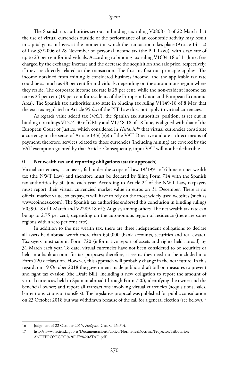The Spanish tax authorities set out in binding tax ruling V0808-18 of 22 March that the use of virtual currencies outside of the performance of an economic activity may result in capital gains or losses at the moment in which the transaction takes place (Article 14.1.c) of Law 35/2006 of 28 November on personal income tax (the PIT Law)), with a tax rate of up to 23 per cent for individuals. According to binding tax ruling V1604-18 of 11 June, fees charged by the exchange increase and the decrease the acquisition and sale price, respectively, if they are directly related to the transaction. The first-in, first-out principle applies. The income obtained from mining is considered business income, and the applicable tax rate could be as much as 48 per cent for individuals, depending on the autonomous region where they reside. The corporate income tax rate is 25 per cent, while the non-resident income tax rate is 24 per cent (19 per cent for residents of the European Union and European Economic Area). The Spanish tax authorities also state in binding tax ruling V1149-18 of 8 May that the exit tax regulated in Article 95 *bis* of the PIT Law does not apply to virtual currencies.

As regards value added tax (VAT), the Spanish tax authorities' position, as set out in binding tax rulings V1274-30 of 6 May and V1748-18 of 18 June, is aligned with that of the European Court of Justice, which considered in *Hedqvist<sup>16</sup>* that virtual currencies constitute a currency in the sense of Article 135(1)(e) of the VAT Directive and are a direct means of payment; therefore, services related to those currencies (including mining) are covered by the VAT exemption granted by that Article. Consequently, input VAT will not be deductible.

#### **ii Net wealth tax and reporting obligations (static approach)**

Virtual currencies, as an asset, fall under the scope of Law 19/1991 of 6 June on net wealth tax (the NWT Law) and therefore must be declared by filing Form 714 with the Spanish tax authorities by 30 June each year. According to Article 24 of the NWT Law, taxpayers must report their virtual currencies' market value in euros on 31 December. There is no official market value, so taxpayers will have to rely on the most widely used websites (such as www.coindesk.com). The Spanish tax authorities endorsed this conclusion in binding rulings V0590-18 of 1 March and V2289-18 of 3 August, among others. The net wealth tax rate can be up to 2.75 per cent, depending on the autonomous region of residence (there are some regions with a zero per cent rate).

In addition to the net wealth tax, there are three independent obligations to declare all assets held abroad worth more than  $€50,000$  (bank accounts, securities and real estate). Taxpayers must submit Form 720 (informative report of assets and rights held abroad) by 31 March each year. To date, virtual currencies have not been considered to be securities or held in a bank account for tax purposes; therefore, it seems they need not be included in a Form 720 declaration. However, this approach will probably change in the near future. In this regard, on 19 October 2018 the government made public a draft bill on measures to prevent and fight tax evasion (the Draft Bill), including a new obligation to report the amount of virtual currencies held in Spain or abroad (through Form 720), identifying the owner and the beneficial owner; and report all transactions involving virtual currencies (acquisitions, sales, barter transactions or transfers). The legislative proposal was published for public consultation on 23 October 2018 but was withdrawn because of the call for a general election (see below).<sup>17</sup>

<sup>16</sup> Judgment of 22 October 2015, *Hedqvist*, Case C-264/14.

<sup>17</sup> http://www.hacienda.gob.es/Documentacion/Publico/NormativaDoctrina/Proyectos/Tributarios/ ANTEPROYECTO%20LEY%20ATAD.pdf.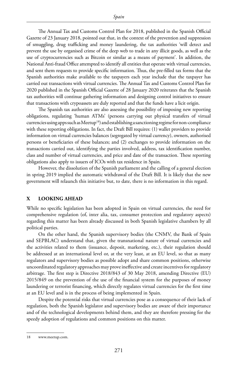The Annual Tax and Customs Control Plan for 2018, published in the Spanish Official Gazette of 23 January 2018, pointed out that, in the context of the prevention and suppression of smuggling, drug trafficking and money laundering, the tax authorities 'will detect and prevent the use by organised crime of the deep web to trade in any illicit goods, as well as the use of cryptocurrencies such as Bitcoin or similar as a means of payment'. In addition, the National Anti-fraud Office attempted to identify all entities that operate with virtual currencies, and sent them requests to provide specific information. Thus, the pre-filled tax forms that the Spanish authorities make available to the taxpayers each year include that the taxpayer has carried out transactions with virtual currencies. The Annual Tax and Customs Control Plan for 2020 published in the Spanish Official Gazette of 28 January 2020 reiterates that the Spanish tax authorities will continue gathering information and designing control initiatives to ensure that transactions with crypoassets are duly reported and that the funds have a licit origin.

The Spanish tax authorities are also assessing the possibility of imposing new reporting obligations, regulating 'human ATMs' (persons carrying out physical transfers of virtual currencies using apps such as Meetup<sup>18</sup>) and establishing a sanctioning regime for non-compliance with these reporting obligations. In fact, the Draft Bill requires: (1) wallet providers to provide information on virtual currencies balances (segregated by virtual currency), owners, authorised persons or beneficiaries of these balances; and (2) exchanges to provide information on the transactions carried out, identifying the parties involved, address, tax identification number, class and number of virtual currencies, and price and date of the transaction. These reporting obligations also apply to issuers of ICOs with tax residence in Spain.

However, the dissolution of the Spanish parliament and the calling of a general election in spring 2019 implied the automatic withdrawal of the Draft Bill. It is likely that the new government will relaunch this initiative but, to date, there is no information in this regard.

#### **X LOOKING AHEAD**

While no specific legislation has been adopted in Spain on virtual currencies, the need for comprehensive regulation (of, inter alia, tax, consumer protection and regulatory aspects) regarding this matter has been already discussed in both Spanish legislative chambers by all political parties.

On the other hand, the Spanish supervisory bodies (the CNMV, the Bank of Spain and SEPBLAC) understand that, given the transnational nature of virtual currencies and the activities related to them (issuance, deposit, marketing, etc.), their regulation should be addressed at an international level or, at the very least, at an EU level, so that as many regulators and supervisory bodies as possible adopt and share common positions, otherwise uncoordinated regulatory approaches may prove ineffective and create incentives for regulatory arbitrage. The first step is Directive 2018/843 of 30 May 2018, amending Directive (EU) 2015/849 on the prevention of the use of the financial system for the purposes of money laundering or terrorist financing, which directly regulates virtual currencies for the first time at an EU level and is in the process of being implemented in Spain.

Despite the potential risks that virtual currencies pose as a consequence of their lack of regulation, both the Spanish legislator and supervisory bodies are aware of their importance and of the technological developments behind them, and they are therefore pressing for the speedy adoption of regulations and common positions on this matter.

<sup>18</sup> www.meetup.com.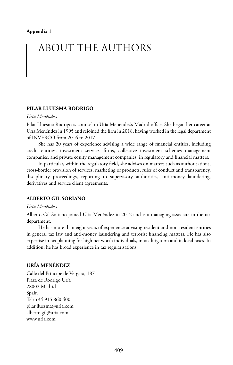# ABOUT THE AUTHORS

#### **PILAR LLUESMA RODRIGO**

#### *Uría Menéndez*

Pilar Lluesma Rodrigo is counsel in Uría Menéndez's Madrid office. She began her career at Uría Menéndez in 1995 and rejoined the firm in 2018, having worked in the legal department of INVERCO from 2016 to 2017.

She has 20 years of experience advising a wide range of financial entities, including credit entities, investment services firms, collective investment schemes management companies, and private equity management companies, in regulatory and financial matters.

In particular, within the regulatory field, she advises on matters such as authorisations, cross-border provision of services, marketing of products, rules of conduct and transparency, disciplinary proceedings, reporting to supervisory authorities, anti-money laundering, derivatives and service client agreements.

#### **ALBERTO GIL SORIANO**

#### *Uría Menéndez*

Alberto Gil Soriano joined Uría Menéndez in 2012 and is a managing associate in the tax department.

He has more than eight years of experience advising resident and non-resident entities in general tax law and anti-money laundering and terrorist financing matters. He has also expertise in tax planning for high net worth individuals, in tax litigation and in local taxes. In addition, he has broad experience in tax regularisations.

#### **URÍA MENÉNDEZ**

Calle del Príncipe de Vergara, 187 Plaza de Rodrigo Uría 28002 Madrid Spain Tel: +34 915 860 400 pilar.lluesma@uria.com alberto.gil@uria.com www.uria.com